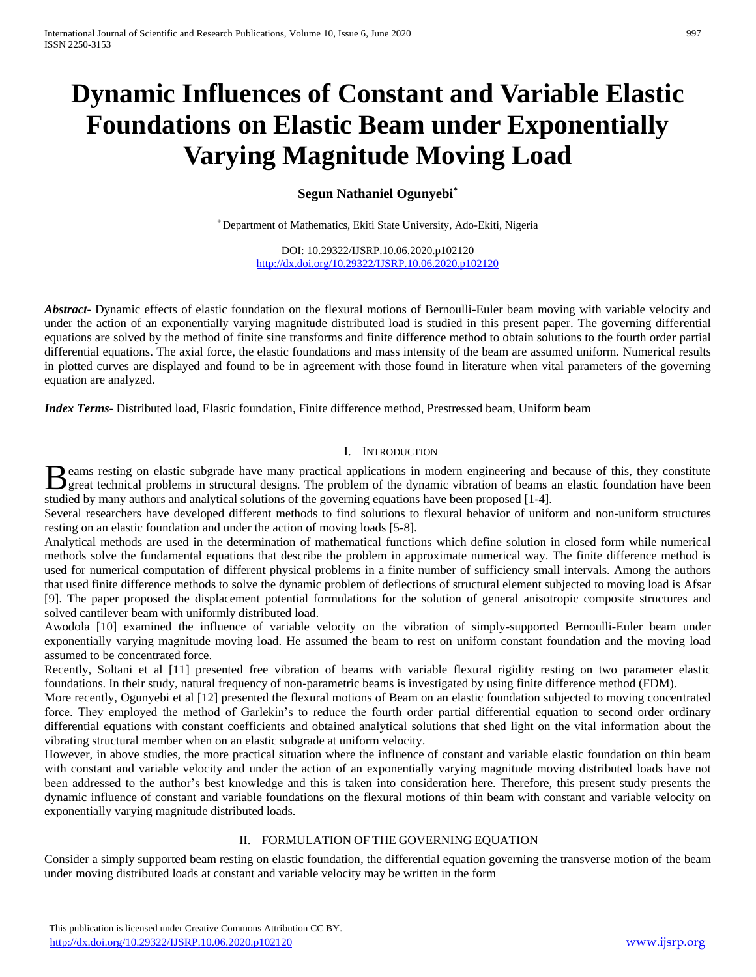# **Dynamic Influences of Constant and Variable Elastic Foundations on Elastic Beam under Exponentially Varying Magnitude Moving Load**

## **Segun Nathaniel Ogunyebi\***

\* Department of Mathematics, Ekiti State University, Ado-Ekiti, Nigeria

DOI: 10.29322/IJSRP.10.06.2020.p102120 <http://dx.doi.org/10.29322/IJSRP.10.06.2020.p102120>

*Abstract***-** Dynamic effects of elastic foundation on the flexural motions of Bernoulli-Euler beam moving with variable velocity and under the action of an exponentially varying magnitude distributed load is studied in this present paper. The governing differential equations are solved by the method of finite sine transforms and finite difference method to obtain solutions to the fourth order partial differential equations. The axial force, the elastic foundations and mass intensity of the beam are assumed uniform. Numerical results in plotted curves are displayed and found to be in agreement with those found in literature when vital parameters of the governing equation are analyzed.

*Index Terms*- Distributed load, Elastic foundation, Finite difference method, Prestressed beam, Uniform beam

## I. INTRODUCTION

eams resting on elastic subgrade have many practical applications in modern engineering and because of this, they constitute Beams resting on elastic subgrade have many practical applications in modern engineering and because of this, they constitute great technical problems in structural designs. The problem of the dynamic vibration of beams an studied by many authors and analytical solutions of the governing equations have been proposed [1-4].

Several researchers have developed different methods to find solutions to flexural behavior of uniform and non-uniform structures resting on an elastic foundation and under the action of moving loads [5-8].

Analytical methods are used in the determination of mathematical functions which define solution in closed form while numerical methods solve the fundamental equations that describe the problem in approximate numerical way. The finite difference method is used for numerical computation of different physical problems in a finite number of sufficiency small intervals. Among the authors that used finite difference methods to solve the dynamic problem of deflections of structural element subjected to moving load is Afsar [9]. The paper proposed the displacement potential formulations for the solution of general anisotropic composite structures and solved cantilever beam with uniformly distributed load.

Awodola [10] examined the influence of variable velocity on the vibration of simply-supported Bernoulli-Euler beam under exponentially varying magnitude moving load. He assumed the beam to rest on uniform constant foundation and the moving load assumed to be concentrated force.

Recently, Soltani et al [11] presented free vibration of beams with variable flexural rigidity resting on two parameter elastic foundations. In their study, natural frequency of non-parametric beams is investigated by using finite difference method (FDM).

More recently, Ogunyebi et al [12] presented the flexural motions of Beam on an elastic foundation subjected to moving concentrated force. They employed the method of Garlekin's to reduce the fourth order partial differential equation to second order ordinary differential equations with constant coefficients and obtained analytical solutions that shed light on the vital information about the vibrating structural member when on an elastic subgrade at uniform velocity.

However, in above studies, the more practical situation where the influence of constant and variable elastic foundation on thin beam with constant and variable velocity and under the action of an exponentially varying magnitude moving distributed loads have not been addressed to the author's best knowledge and this is taken into consideration here. Therefore, this present study presents the dynamic influence of constant and variable foundations on the flexural motions of thin beam with constant and variable velocity on exponentially varying magnitude distributed loads.

## II. FORMULATION OF THE GOVERNING EQUATION

Consider a simply supported beam resting on elastic foundation, the differential equation governing the transverse motion of the beam under moving distributed loads at constant and variable velocity may be written in the form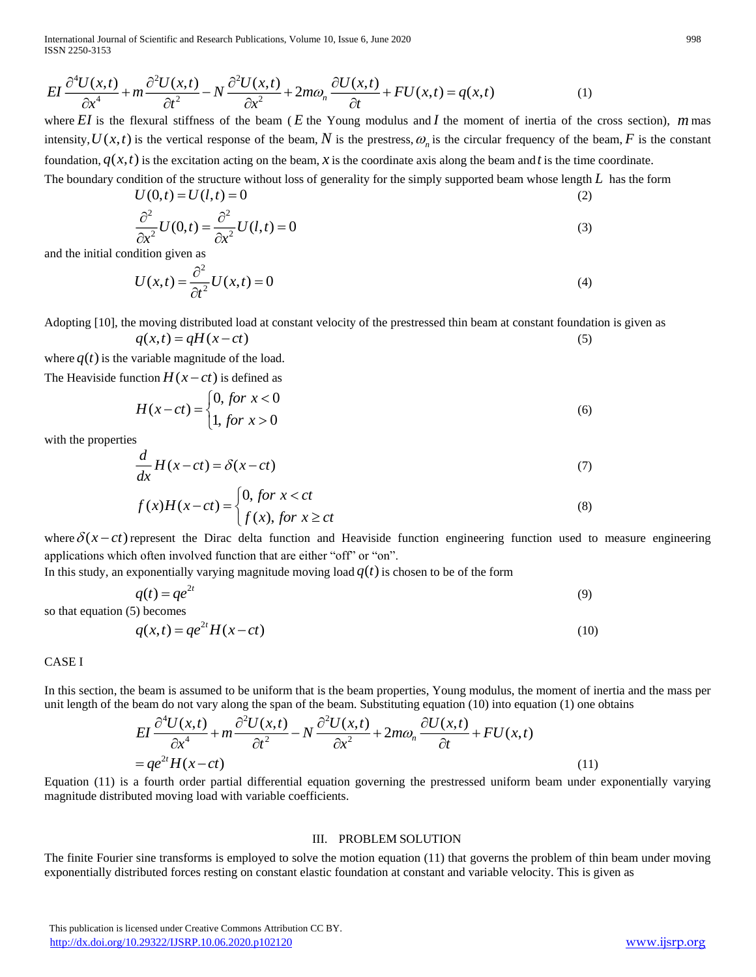International Journal of Scientific and Research Publications, Volume 10, Issue 6, June 2020 998 ISSN 2250-3153

$$
EI\frac{\partial^4 U(x,t)}{\partial x^4} + m\frac{\partial^2 U(x,t)}{\partial t^2} - N\frac{\partial^2 U(x,t)}{\partial x^2} + 2m\omega_n \frac{\partial U(x,t)}{\partial t} + FU(x,t) = q(x,t)
$$
 (1)

where EI is the flexural stiffness of the beam (E the Young modulus and I the moment of inertia of the cross section),  $m$  mas intensity,  $U(x,t)$  is the vertical response of the beam, N is the prestress,  $\omega_n$  is the circular frequency of the beam, F is the constant foundation,  $q(x,t)$  is the excitation acting on the beam, x is the coordinate axis along the beam and t is the time coordinate.

The boundary condition of the structure without loss of generality for the simply supported beam whose length *L* has the form  $U(0,t) = U(l,t) = 0$ (2)

$$
\frac{\partial^2}{\partial x^2} U(0,t) = \frac{\partial^2}{\partial x^2} U(l,t) = 0
$$
\n(3)

and the initial condition given as

$$
U(x,t) = \frac{\partial^2}{\partial t^2} U(x,t) = 0
$$
\n(4)

Adopting [10], the moving distributed load at constant velocity of the prestressed thin beam at constant foundation is given as  $q(x,t) = qH(x-ct)$ (5)

where  $q(t)$  is the variable magnitude of the load.

The Heaviside function  $H(x-ct)$  is defined as

$$
H(x-ct) = \begin{cases} 0, \text{ for } x < 0 \\ 1, \text{ for } x > 0 \end{cases}
$$
 (6)

with the properties

$$
\frac{d}{dx}H(x-ct) = \delta(x-ct)
$$
\n(7)

$$
f(x)H(x-ct) = \begin{cases} 0, \text{ for } x < ct \\ f(x), \text{ for } x \ge ct \end{cases}
$$
 (8)

where  $\delta(x-ct)$  represent the Dirac delta function and Heaviside function engineering function used to measure engineering applications which often involved function that are either "off" or "on".

In this study, an exponentially varying magnitude moving load  $q(t)$  is chosen to be of the form

$$
q(t) = q e^{2t} \tag{9}
$$

so that equation (5) becomes

$$
q(x,t) = q e^{2t} H(x-ct)
$$
\n<sup>(10)</sup>

## CASE I

In this section, the beam is assumed to be uniform that is the beam properties, Young modulus, the moment of inertia and the mass per In this section, the beam is assumed to be uniform that is the beam properties, Young modulus, the moment of merida a<br>unit length of the beam do not vary along the span of the beam. Substituting equation (10) into equatio

The beam is assumed to be uniform that is the beam properties, Young modulus, the moment of in the beam do not vary along the span of the beam. Substituting equation (10) into equation (1) one of 
$$
EI \frac{\partial^4 U(x,t)}{\partial x^4} + m \frac{\partial^2 U(x,t)}{\partial t^2} - N \frac{\partial^2 U(x,t)}{\partial x^2} + 2m\omega_n \frac{\partial U(x,t)}{\partial t} + FU(x,t)
$$

$$
= q e^{2t} H(x-ct)
$$
(11)

Equation (11) is a fourth order partial differential equation governing the prestressed uniform beam under exponentially varying magnitude distributed moving load with variable coefficients.

#### III. PROBLEM SOLUTION

The finite Fourier sine transforms is employed to solve the motion equation (11) that governs the problem of thin beam under moving exponentially distributed forces resting on constant elastic foundation at constant and variable velocity. This is given as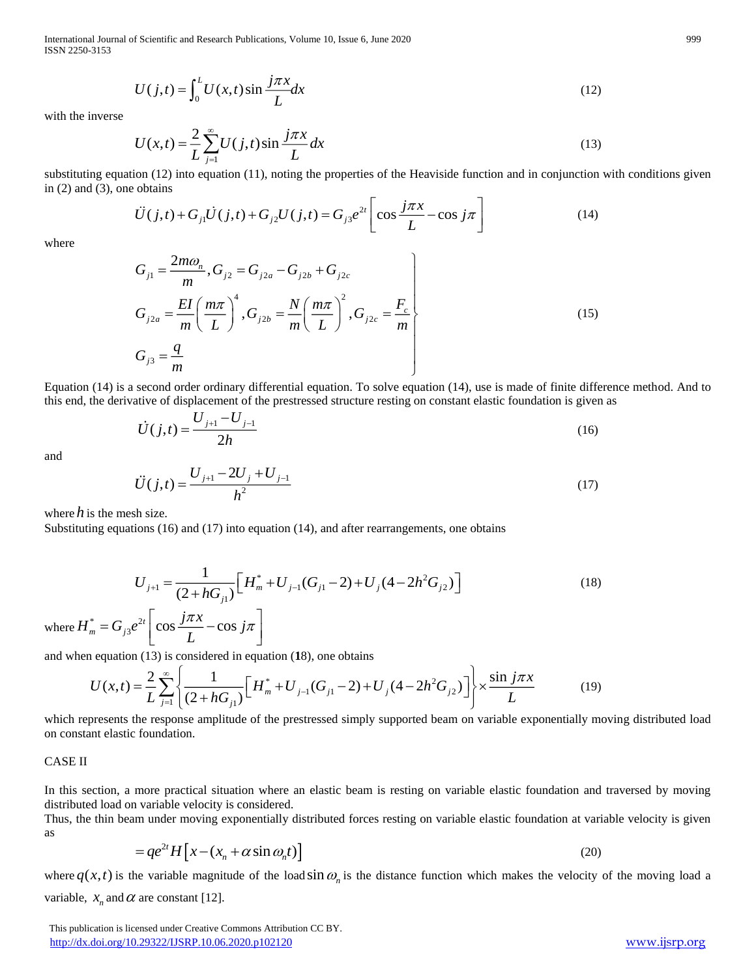International Journal of Scientific and Research Publications, Volume 10, Issue 6, June 2020 999 ISSN 2250-3153

$$
U(j,t) = \int_0^L U(x,t) \sin \frac{j\pi x}{L} dx
$$
\n(12)

with the inverse

$$
U(x,t) = \frac{2}{L} \sum_{j=1}^{\infty} U(j,t) \sin \frac{j\pi x}{L} dx
$$
\n(13)

in (2) and (3), one obtains

substituting equation (12) into equation (11), noting the properties of the Heaviside function and in conjunction with conditions given  
in (2) and (3), one obtains  

$$
\ddot{U}(j,t) + G_{j1}\dot{U}(j,t) + G_{j2}U(j,t) = G_{j3}e^{2t} \left[\cos \frac{j\pi x}{L} - \cos j\pi\right]
$$
(14)

where

$$
G_{j1} = \frac{2m\omega_n}{m}, G_{j2} = G_{j2a} - G_{j2b} + G_{j2c}
$$
  
\n
$$
G_{j2a} = \frac{EI}{m} \left(\frac{m\pi}{L}\right)^4, G_{j2b} = \frac{N}{m} \left(\frac{m\pi}{L}\right)^2, G_{j2c} = \frac{F_c}{m}
$$
  
\n
$$
G_{j3} = \frac{q}{m}
$$
\n(15)

Equation (14) is a second order ordinary differential equation. To solve equation (14), use is made of finite difference method. And to this end, the derivative of displacement of the prestressed structure resting on constant elastic foundation is given as

$$
\dot{U}(j,t) = \frac{U_{j+1} - U_{j-1}}{2h}
$$
\n(16)

and

$$
\ddot{U}(j,t) = \frac{U_{j+1} - 2U_j + U_{j-1}}{h^2} \tag{17}
$$

where  $h$  is the mesh size.

Substituting equations (16) and (17) into equation (14), and after rearrangements, one obtains

$$
U_{j+1} = \frac{1}{(2 + hG_{j1})} \Big[ H_m^* + U_{j-1}(G_{j1} - 2) + U_j (4 - 2h^2 G_{j2}) \Big]
$$
\n
$$
e^{2t} \Big[ \cos \frac{j\pi x}{g} - \cos j\pi \Big]
$$
\n(18)

where  $H_m^* = G_{j3}e^{2t} \left[ \cos \frac{j\pi x}{L} - \cos j\pi \right]$ *L*

and when equation (13) is considered in equation (**1**8), one obtains

$$
U(x,t) = \frac{2}{L} \sum_{j=1}^{\infty} \left\{ \frac{1}{(2 + hG_{j1})} \Big[ H_m^* + U_{j-1}(G_{j1} - 2) + U_j(4 - 2h^2 G_{j2}) \Big] \right\} \times \frac{\sin j\pi x}{L}
$$
(19)

which represents the response amplitude of the prestressed simply supported beam on variable exponentially moving distributed load on constant elastic foundation.

#### CASE II

In this section, a more practical situation where an elastic beam is resting on variable elastic foundation and traversed by moving distributed load on variable velocity is considered.

Thus, the thin beam under moving exponentially distributed forces resting on variable elastic foundation at variable velocity is given as

$$
= q e^{2t} H \left[ x - (x_n + \alpha \sin \omega_n t) \right]
$$
 (20)

where  $q(x,t)$  is the variable magnitude of the load sin  $\omega_n$  is the distance function which makes the velocity of the moving load a variable,  $x_n$  and  $\alpha$  are constant [12].

 This publication is licensed under Creative Commons Attribution CC BY. <http://dx.doi.org/10.29322/IJSRP.10.06.2020.p102120> [www.ijsrp.org](http://ijsrp.org/)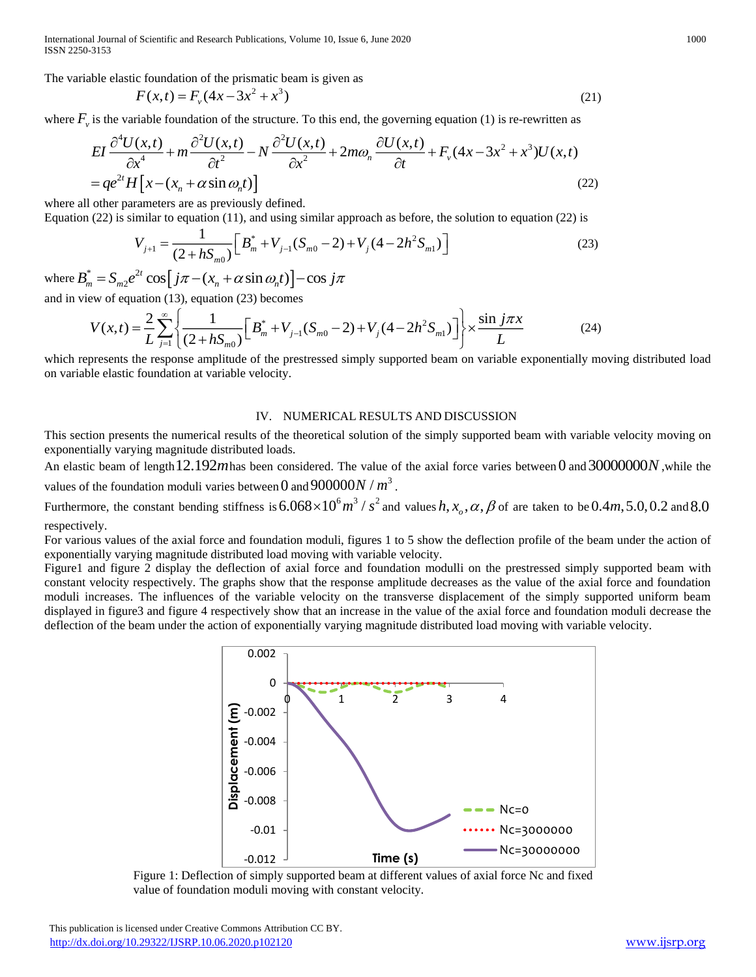International Journal of Scientific and Research Publications, Volume 10, Issue 6, June 2020 1000 1000 1000 1000 ISSN 2250-3153

The variable elastic foundation of the prismatic beam is given as  

$$
F(x,t) = F_y(4x - 3x^2 + x^3)
$$
(21)

where  $F_{\nu}$  is the variable foundation of the structure. To this end, the governing equation (1) is re-rewritten as

$$
EI\frac{\partial^4 U(x,t)}{\partial x^4} + m\frac{\partial^2 U(x,t)}{\partial t^2} - N\frac{\partial^2 U(x,t)}{\partial x^2} + 2m\omega_n \frac{\partial U(x,t)}{\partial t} + F_v(4x - 3x^2 + x^3)U(x,t)
$$
  
=  $qe^{2t}H[x - (x_n + \alpha \sin \omega_n t)]$  (22)

where all other parameters are as previously defined.

Equation (22) is similar to equation (11), and using similar approach as before, the solution to equation (22) is

$$
V_{j+1} = \frac{1}{(2 + hS_{m0})} \Big[ B_m^* + V_{j-1} (S_{m0} - 2) + V_j (4 - 2h^2 S_{m1}) \Big]
$$
(23)

where  $B_m^* = S_{m2}e^{2t} \cos \left[j\pi - (x_n + \alpha \sin \omega_n t)\right]$  $B_m^* = S_{m2}e^{2t}\cos\left(j\pi - (x_n + \alpha\sin\omega_n t)\right) - \cos j\pi$ and in view of equation (13), equation (23) becomes

$$
V(x,t) = \frac{2}{L} \sum_{j=1}^{\infty} \left\{ \frac{1}{(2 + hS_{m0})} \left[ B_m^* + V_{j-1}(S_{m0} - 2) + V_j(4 - 2h^2 S_{m1}) \right] \right\} \times \frac{\sin j \pi x}{L}
$$
(24)

which represents the response amplitude of the prestressed simply supported beam on variable exponentially moving distributed load on variable elastic foundation at variable velocity.

#### IV. NUMERICAL RESULTS AND DISCUSSION

This section presents the numerical results of the theoretical solution of the simply supported beam with variable velocity moving on exponentially varying magnitude distributed loads.

An elastic beam of length 12.192*m* has been considered. The value of the axial force varies between 0 and 30000000*N*, while the values of the foundation moduli varies between 0 and  $900000N/m^3$ .

Furthermore, the constant bending stiffness is  $6.068 \times 10^6$   $m^3$  /  $s^2$  and values  $h$ ,  $x_o$ ,  $\alpha$ ,  $\beta$  of are taken to be  $0.4m$ , 5.0, 0.2 and 8.0 respectively.

For various values of the axial force and foundation moduli, figures 1 to 5 show the deflection profile of the beam under the action of exponentially varying magnitude distributed load moving with variable velocity.

Figure1 and figure 2 display the deflection of axial force and foundation modulli on the prestressed simply supported beam with constant velocity respectively. The graphs show that the response amplitude decreases as the value of the axial force and foundation moduli increases. The influences of the variable velocity on the transverse displacement of the simply supported uniform beam displayed in figure3 and figure 4 respectively show that an increase in the value of the axial force and foundation moduli decrease the deflection of the beam under the action of exponentially varying magnitude distributed load moving with variable velocity.



Figure 1: Deflection of simply supported beam at different values of axial force Nc and fixed value of foundation moduli moving with constant velocity.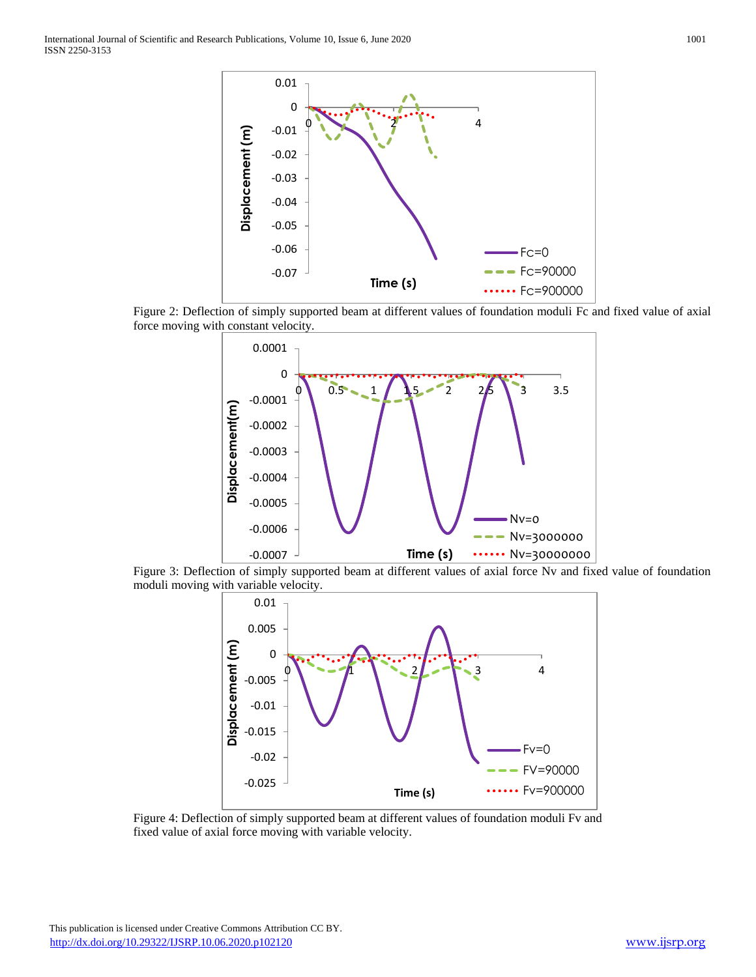

Figure 2: Deflection of simply supported beam at different values of foundation moduli Fc and fixed value of axial force moving with constant velocity.



Figure 3: Deflection of simply supported beam at different values of axial force Nv and fixed value of foundation moduli moving with variable velocity.



Figure 4: Deflection of simply supported beam at different values of foundation moduli Fv and fixed value of axial force moving with variable velocity.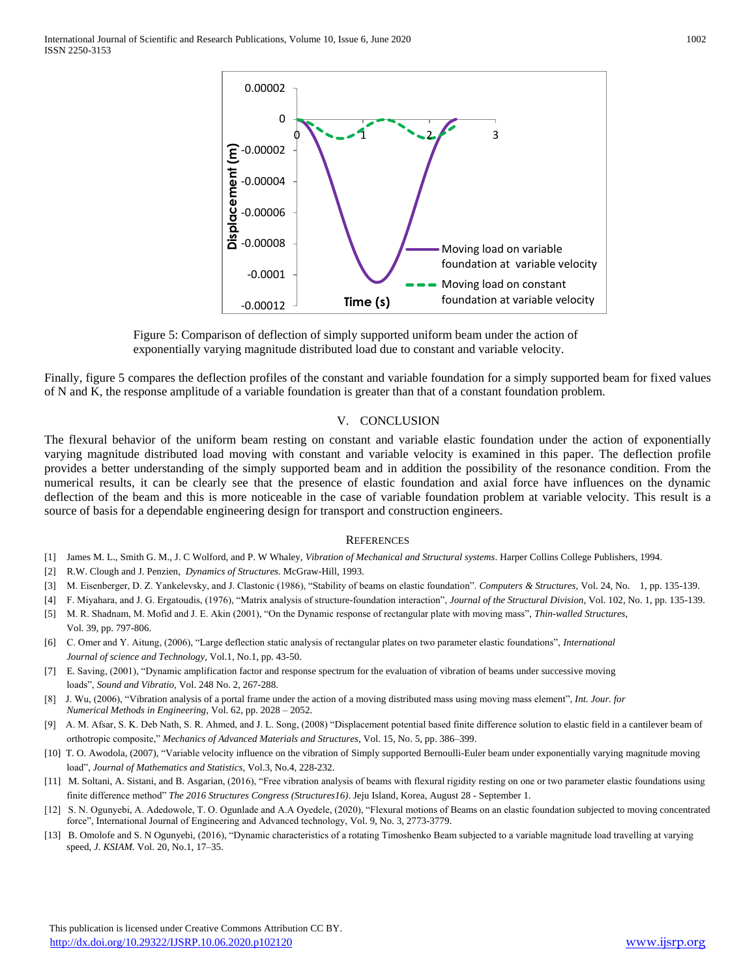

Figure 5: Comparison of deflection of simply supported uniform beam under the action of exponentially varying magnitude distributed load due to constant and variable velocity.

Finally, figure 5 compares the deflection profiles of the constant and variable foundation for a simply supported beam for fixed values of N and K, the response amplitude of a variable foundation is greater than that of a constant foundation problem.

### V. CONCLUSION

The flexural behavior of the uniform beam resting on constant and variable elastic foundation under the action of exponentially varying magnitude distributed load moving with constant and variable velocity is examined in this paper. The deflection profile provides a better understanding of the simply supported beam and in addition the possibility of the resonance condition. From the numerical results, it can be clearly see that the presence of elastic foundation and axial force have influences on the dynamic deflection of the beam and this is more noticeable in the case of variable foundation problem at variable velocity. This result is a source of basis for a dependable engineering design for transport and construction engineers.

#### **REFERENCES**

- [1] James M. L., Smith G. M., J. C Wolford, and P. W Whaley, *Vibration of Mechanical and Structural systems*. Harper Collins College Publishers, 1994.
- [2] R.W. Clough and J. Penzien, *Dynamics of Structures.* McGraw-Hill, 1993.
- [3] M. Eisenberger, D. Z. Yankelevsky, and J. Clastonic (1986), "Stability of beams on elastic foundation". *Computers & Structures*, Vol. 24, No. 1, pp. 135-139.
- [4] F. Miyahara, and J. G. Ergatoudis, (1976), "Matrix analysis of structure-foundation interaction", *Journal of the Structural Division*, Vol. 102, No. 1, pp. 135-139.
- [5] M. R. Shadnam, M. Mofid and J. E. Akin (2001), "On the Dynamic response of rectangular plate with moving mass", *Thin-walled Structures*, Vol. 39, pp. 797-806.
- [6] C. Omer and Y. Aitung, (2006), "Large deflection static analysis of rectangular plates on two parameter elastic foundations", *International Journal of science and Technology,* Vol.1, No.1, pp. 43-50.
- [7] E. Saving, (2001), "Dynamic amplification factor and response spectrum for the evaluation of vibration of beams under successive moving loads", *Sound and Vibratio,* Vol. 248 No. 2, 267-288.
- [8] J. Wu, (2006), "Vibration analysis of a portal frame under the action of a moving distributed mass using moving mass element", *Int. Jour. for Numerical Methods in Engineering,* Vol. 62, pp. 2028 – 2052.
- [9] A. M. Afsar, S. K. Deb Nath, S. R. Ahmed, and J. L. Song, (2008) "Displacement potential based finite difference solution to elastic field in a cantilever beam of orthotropic composite," *Mechanics of Advanced Materials and Structures*, Vol. 15, No. 5, pp. 386–399.
- [10] T. O. Awodola, (2007), "Variable velocity influence on the vibration of Simply supported Bernoulli-Euler beam under exponentially varying magnitude moving load", *Journal of Mathematics and Statistics*, Vol.3, No.4, 228-232.
- [11] M. Soltani, A. Sistani, and B. Asgarian, (2016), "Free vibration analysis of beams with flexural rigidity resting on one or two parameter elastic foundations using finite difference method" *The 2016 Structures Congress (Structures16)*. Jeju Island, Korea, August 28 - September 1.
- [12] S. N. Ogunyebi, A. Adedowole, T. O. Ogunlade and A.A Oyedele, (2020), "Flexural motions of Beams on an elastic foundation subjected to moving concentrated force", International Journal of Engineering and Advanced technology, Vol. 9, No. 3, 2773-3779.
- [13] B. Omolofe and S. N Ogunyebi, (2016), "Dynamic characteristics of a rotating Timoshenko Beam subjected to a variable magnitude load travelling at varying speed, *J. KSIAM.* Vol. 20, No.1, 17–35.